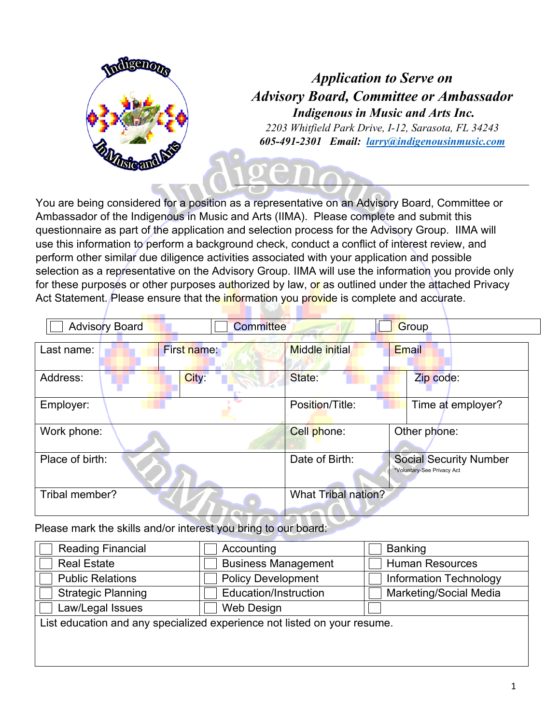

# *Application to Serve on Advisory Board, Committee or Ambassador Indigenous in Music and Arts Inc.*

*2203 Whitfield Park Drive, I-12, Sarasota, FL 34243 605-491-2301 Email: larry@indigenousinmusic.com*

You are being considered for a position as a representative on an Advisory Board, Committee or Ambassador of the Indigenous in Music and Arts (IIMA). Please complete and submit this questionnaire as part of the application and selection process for the Advisory Group. IIMA will use this information to perform a background check, conduct a conflict of interest review, and perform other similar due diligence activities associated with your application and possible selection as a representative on the Advisory Group. IIMA will use the information you provide only for these purposes or other purposes authorized by law, or as outlined under the attached Privacy Act Statement. Please ensure that the *information you provide* is complete and accurate.

| <b>Advisory Board</b> | <b>Committee</b>   |                            | Group                                                       |
|-----------------------|--------------------|----------------------------|-------------------------------------------------------------|
| Last name:            | <b>First name:</b> | <b>Middle initial</b>      | Email                                                       |
| Address:              | City:              | State:                     | Zip code:                                                   |
| Employer:             |                    | Position/Title:            | Time at employer?                                           |
| Work phone:           |                    | Cell phone:                | Other phone:                                                |
| Place of birth:       |                    | Date of Birth:             | <b>Social Security Number</b><br>*Voluntary-See Privacy Act |
| Tribal member?        |                    | <b>What Tribal nation?</b> |                                                             |

Please mark the skills and/or interest you bring to our board:

| <b>Reading Financial</b>                                                 | Accounting                 | <b>Banking</b>                |  |  |  |
|--------------------------------------------------------------------------|----------------------------|-------------------------------|--|--|--|
| <b>Real Estate</b>                                                       | <b>Business Management</b> | <b>Human Resources</b>        |  |  |  |
| <b>Public Relations</b>                                                  | <b>Policy Development</b>  | <b>Information Technology</b> |  |  |  |
| <b>Strategic Planning</b>                                                | Education/Instruction      | <b>Marketing/Social Media</b> |  |  |  |
| Law/Legal Issues                                                         | Web Design                 |                               |  |  |  |
| List education and any specialized experience not listed on your resume. |                            |                               |  |  |  |
|                                                                          |                            |                               |  |  |  |
|                                                                          |                            |                               |  |  |  |
|                                                                          |                            |                               |  |  |  |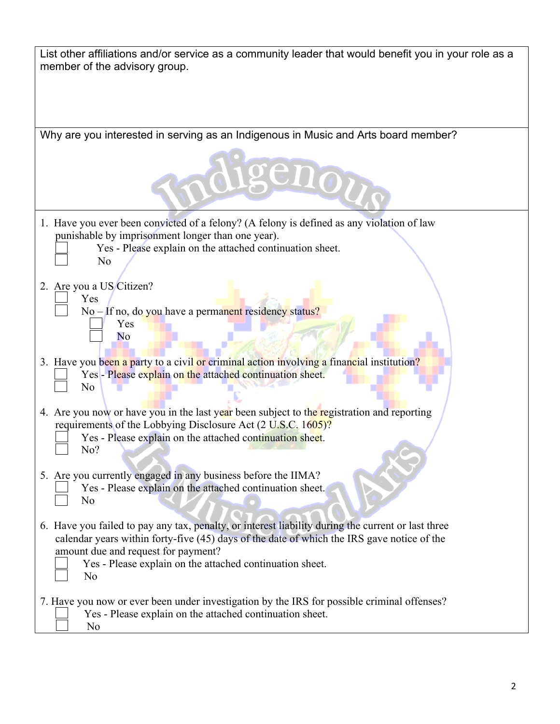| Why are you interested in serving as an Indigenous in Music and Arts board member?<br>enon<br>1. Have you ever been convicted of a felony? (A felony is defined as any violation of law<br>punishable by imprisonment longer than one year).<br>Yes - Please explain on the attached continuation sheet.<br>No<br>2. Are you a US Citizen?<br>Yes<br>No – If no, do you have a permanent residency status?<br>Yes<br>No<br>3. Have you been a party to a civil or criminal action involving a financial institution?<br>Yes - Please explain on the attached continuation sheet.<br>No<br>4. Are you now or have you in the last year been subject to the registration and reporting<br>requirements of the Lobbying Disclosure Act (2 U.S.C. 1605)?<br>Yes - Please explain on the attached continuation sheet.<br>No?<br>5. Are you currently engaged in any business before the IIMA?<br>Yes - Please explain on the attached continuation sheet.<br>No<br>6. Have you failed to pay any tax, penalty, or interest liability during the current or last three<br>calendar years within forty-five (45) days of the date of which the IRS gave notice of the<br>amount due and request for payment?<br>Yes - Please explain on the attached continuation sheet.<br>No<br>7. Have you now or ever been under investigation by the IRS for possible criminal offenses?<br>Yes - Please explain on the attached continuation sheet.<br>No | List other affiliations and/or service as a community leader that would benefit you in your role as a<br>member of the advisory group. |  |  |  |  |
|------------------------------------------------------------------------------------------------------------------------------------------------------------------------------------------------------------------------------------------------------------------------------------------------------------------------------------------------------------------------------------------------------------------------------------------------------------------------------------------------------------------------------------------------------------------------------------------------------------------------------------------------------------------------------------------------------------------------------------------------------------------------------------------------------------------------------------------------------------------------------------------------------------------------------------------------------------------------------------------------------------------------------------------------------------------------------------------------------------------------------------------------------------------------------------------------------------------------------------------------------------------------------------------------------------------------------------------------------------------------------------------------------------------------------------------|----------------------------------------------------------------------------------------------------------------------------------------|--|--|--|--|
|                                                                                                                                                                                                                                                                                                                                                                                                                                                                                                                                                                                                                                                                                                                                                                                                                                                                                                                                                                                                                                                                                                                                                                                                                                                                                                                                                                                                                                          |                                                                                                                                        |  |  |  |  |
|                                                                                                                                                                                                                                                                                                                                                                                                                                                                                                                                                                                                                                                                                                                                                                                                                                                                                                                                                                                                                                                                                                                                                                                                                                                                                                                                                                                                                                          |                                                                                                                                        |  |  |  |  |
|                                                                                                                                                                                                                                                                                                                                                                                                                                                                                                                                                                                                                                                                                                                                                                                                                                                                                                                                                                                                                                                                                                                                                                                                                                                                                                                                                                                                                                          |                                                                                                                                        |  |  |  |  |
|                                                                                                                                                                                                                                                                                                                                                                                                                                                                                                                                                                                                                                                                                                                                                                                                                                                                                                                                                                                                                                                                                                                                                                                                                                                                                                                                                                                                                                          |                                                                                                                                        |  |  |  |  |
|                                                                                                                                                                                                                                                                                                                                                                                                                                                                                                                                                                                                                                                                                                                                                                                                                                                                                                                                                                                                                                                                                                                                                                                                                                                                                                                                                                                                                                          |                                                                                                                                        |  |  |  |  |
|                                                                                                                                                                                                                                                                                                                                                                                                                                                                                                                                                                                                                                                                                                                                                                                                                                                                                                                                                                                                                                                                                                                                                                                                                                                                                                                                                                                                                                          |                                                                                                                                        |  |  |  |  |
|                                                                                                                                                                                                                                                                                                                                                                                                                                                                                                                                                                                                                                                                                                                                                                                                                                                                                                                                                                                                                                                                                                                                                                                                                                                                                                                                                                                                                                          |                                                                                                                                        |  |  |  |  |
|                                                                                                                                                                                                                                                                                                                                                                                                                                                                                                                                                                                                                                                                                                                                                                                                                                                                                                                                                                                                                                                                                                                                                                                                                                                                                                                                                                                                                                          |                                                                                                                                        |  |  |  |  |
|                                                                                                                                                                                                                                                                                                                                                                                                                                                                                                                                                                                                                                                                                                                                                                                                                                                                                                                                                                                                                                                                                                                                                                                                                                                                                                                                                                                                                                          |                                                                                                                                        |  |  |  |  |
|                                                                                                                                                                                                                                                                                                                                                                                                                                                                                                                                                                                                                                                                                                                                                                                                                                                                                                                                                                                                                                                                                                                                                                                                                                                                                                                                                                                                                                          |                                                                                                                                        |  |  |  |  |
|                                                                                                                                                                                                                                                                                                                                                                                                                                                                                                                                                                                                                                                                                                                                                                                                                                                                                                                                                                                                                                                                                                                                                                                                                                                                                                                                                                                                                                          |                                                                                                                                        |  |  |  |  |
|                                                                                                                                                                                                                                                                                                                                                                                                                                                                                                                                                                                                                                                                                                                                                                                                                                                                                                                                                                                                                                                                                                                                                                                                                                                                                                                                                                                                                                          |                                                                                                                                        |  |  |  |  |
|                                                                                                                                                                                                                                                                                                                                                                                                                                                                                                                                                                                                                                                                                                                                                                                                                                                                                                                                                                                                                                                                                                                                                                                                                                                                                                                                                                                                                                          |                                                                                                                                        |  |  |  |  |
|                                                                                                                                                                                                                                                                                                                                                                                                                                                                                                                                                                                                                                                                                                                                                                                                                                                                                                                                                                                                                                                                                                                                                                                                                                                                                                                                                                                                                                          |                                                                                                                                        |  |  |  |  |
|                                                                                                                                                                                                                                                                                                                                                                                                                                                                                                                                                                                                                                                                                                                                                                                                                                                                                                                                                                                                                                                                                                                                                                                                                                                                                                                                                                                                                                          |                                                                                                                                        |  |  |  |  |
|                                                                                                                                                                                                                                                                                                                                                                                                                                                                                                                                                                                                                                                                                                                                                                                                                                                                                                                                                                                                                                                                                                                                                                                                                                                                                                                                                                                                                                          |                                                                                                                                        |  |  |  |  |
|                                                                                                                                                                                                                                                                                                                                                                                                                                                                                                                                                                                                                                                                                                                                                                                                                                                                                                                                                                                                                                                                                                                                                                                                                                                                                                                                                                                                                                          |                                                                                                                                        |  |  |  |  |
|                                                                                                                                                                                                                                                                                                                                                                                                                                                                                                                                                                                                                                                                                                                                                                                                                                                                                                                                                                                                                                                                                                                                                                                                                                                                                                                                                                                                                                          |                                                                                                                                        |  |  |  |  |
|                                                                                                                                                                                                                                                                                                                                                                                                                                                                                                                                                                                                                                                                                                                                                                                                                                                                                                                                                                                                                                                                                                                                                                                                                                                                                                                                                                                                                                          |                                                                                                                                        |  |  |  |  |
|                                                                                                                                                                                                                                                                                                                                                                                                                                                                                                                                                                                                                                                                                                                                                                                                                                                                                                                                                                                                                                                                                                                                                                                                                                                                                                                                                                                                                                          |                                                                                                                                        |  |  |  |  |
|                                                                                                                                                                                                                                                                                                                                                                                                                                                                                                                                                                                                                                                                                                                                                                                                                                                                                                                                                                                                                                                                                                                                                                                                                                                                                                                                                                                                                                          |                                                                                                                                        |  |  |  |  |
|                                                                                                                                                                                                                                                                                                                                                                                                                                                                                                                                                                                                                                                                                                                                                                                                                                                                                                                                                                                                                                                                                                                                                                                                                                                                                                                                                                                                                                          |                                                                                                                                        |  |  |  |  |
|                                                                                                                                                                                                                                                                                                                                                                                                                                                                                                                                                                                                                                                                                                                                                                                                                                                                                                                                                                                                                                                                                                                                                                                                                                                                                                                                                                                                                                          |                                                                                                                                        |  |  |  |  |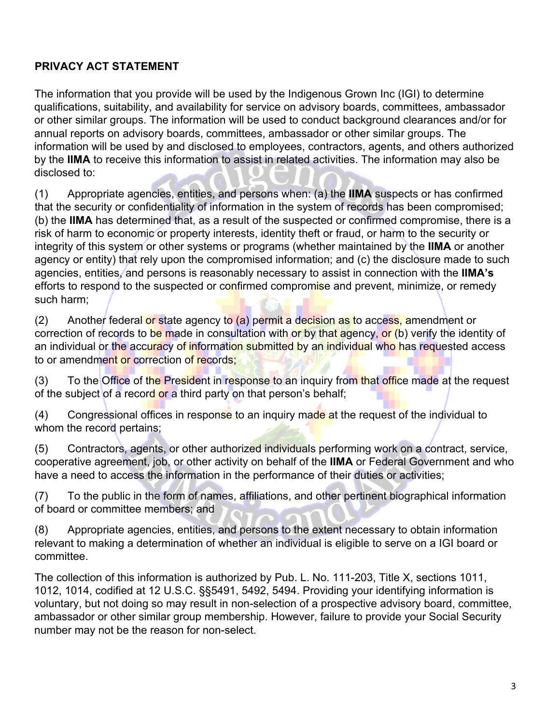# **PRIVACY ACT STATEMENT**

The information that you provide will be used by the Indigenous Grown Inc (IGI) to determine qualifications, suitability, and availability for service on advisory boards, committees, ambassador or other similar groups. The information will be used to conduct background clearances and/or for annual reports on advisory boards, committees, ambassador or other similar groups. The information will be used by and disclosed to employees, contractors, agents, and others authorized by the **IIMA** to receive this information to assist in related activities. The information may also be disclosed to:

(1) Appropriate agencies, entities, and persons when: (a) the **IIMA** suspects or has confirmed that the security or confidentiality of information in the system of records has been compromised; (b) the **IIMA** has determined that, as a result of the suspected or confirmed compromise, there is a risk of harm to economic or property interests, identity theft or fraud, or harm to the security or integrity of this system or other systems or programs (whether maintained by the **IIMA** or another agency or entity) that rely upon the compromised information; and (c) the disclosure made to such agencies, entities, and persons is reasonably necessary to assist in connection with the **IIMA's** efforts to respond to the suspected or confirmed compromise and prevent, minimize, or remedy such harm;

(2) Another federal or state agency to (a) permit a decision as to access, amendment or correction of records to be made in consultation with or by that agency, or (b) verify the identity of an individual or the accuracy of information submitted by an individual who has requested access to or amendment or correction of records;

(3) To the Office of the President in response to an inquiry from that office made at the request of the subject of a record or a third party on that person's behalf;

(4) Congressional offices in response to an inquiry made at the request of the individual to whom the record pertains;

(5) Contractors, agents, or other authorized individuals performing work on a contract, service, cooperative agreement, job, or other activity on behalf of the **IIMA** or Federal Government and who have a need to access the information in the performance of their duties or activities;

(7) To the public in the form of names, affiliations, and other pertinent biographical information of board or committee members; and

(8) Appropriate agencies, entities, and persons to the extent necessary to obtain information relevant to making a determination of whether an individual is eligible to serve on a IGI board or committee.

The collection of this information is authorized by Pub. L. No. 111-203, Title X, sections 1011, 1012, 1014, codified at 12 U.S.C. §§5491, 5492, 5494. Providing your identifying information is voluntary, but not doing so may result in non-selection of a prospective advisory board, committee, ambassador or other similar group membership. However, failure to provide your Social Security number may not be the reason for non-select.